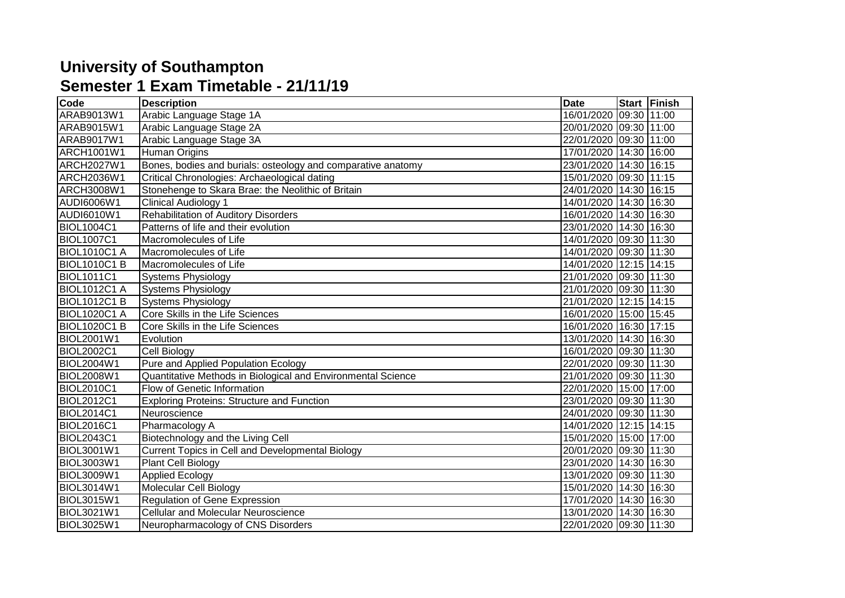## **University of Southampton Semester 1 Exam Timetable - 21/11/19**

| Code                | <b>Description</b>                                           | <b>Date</b>            | Start Finish |
|---------------------|--------------------------------------------------------------|------------------------|--------------|
| ARAB9013W1          | Arabic Language Stage 1A                                     | 16/01/2020 09:30 11:00 |              |
| ARAB9015W1          | Arabic Language Stage 2A                                     | 20/01/2020 09:30 11:00 |              |
| ARAB9017W1          | Arabic Language Stage 3A                                     | 22/01/2020 09:30 11:00 |              |
| ARCH1001W1          | Human Origins                                                | 17/01/2020 14:30 16:00 |              |
| ARCH2027W1          | Bones, bodies and burials: osteology and comparative anatomy | 23/01/2020 14:30 16:15 |              |
| ARCH2036W1          | Critical Chronologies: Archaeological dating                 | 15/01/2020 09:30       | 11:15        |
| ARCH3008W1          | Stonehenge to Skara Brae: the Neolithic of Britain           | 24/01/2020 14:30       | 16:15        |
| AUDI6006W1          | <b>Clinical Audiology 1</b>                                  | 14/01/2020 14:30 16:30 |              |
| AUDI6010W1          | <b>Rehabilitation of Auditory Disorders</b>                  | 16/01/2020 14:30 16:30 |              |
| <b>BIOL1004C1</b>   | Patterns of life and their evolution                         | 23/01/2020 14:30 16:30 |              |
| <b>BIOL1007C1</b>   | Macromolecules of Life                                       | 14/01/2020 09:30 11:30 |              |
| <b>BIOL1010C1 A</b> | Macromolecules of Life                                       | 14/01/2020 09:30 11:30 |              |
| <b>BIOL1010C1 B</b> | Macromolecules of Life                                       | 14/01/2020 12:15 14:15 |              |
| <b>BIOL1011C1</b>   | <b>Systems Physiology</b>                                    | 21/01/2020 09:30       | 11:30        |
| <b>BIOL1012C1 A</b> | <b>Systems Physiology</b>                                    | 21/01/2020 09:30 11:30 |              |
| <b>BIOL1012C1 B</b> | <b>Systems Physiology</b>                                    | 21/01/2020 12:15 14:15 |              |
| <b>BIOL1020C1 A</b> | Core Skills in the Life Sciences                             | 16/01/2020 15:00 15:45 |              |
| <b>BIOL1020C1 B</b> | Core Skills in the Life Sciences                             | 16/01/2020 16:30       | 17:15        |
| <b>BIOL2001W1</b>   | Evolution                                                    | 13/01/2020 14:30       | 16:30        |
| <b>BIOL2002C1</b>   | Cell Biology                                                 | 16/01/2020 09:30       | 11:30        |
| <b>BIOL2004W1</b>   | Pure and Applied Population Ecology                          | 22/01/2020 09:30       | 11:30        |
| <b>BIOL2008W1</b>   | Quantitative Methods in Biological and Environmental Science | 21/01/2020 09:30 11:30 |              |
| <b>BIOL2010C1</b>   | Flow of Genetic Information                                  | 22/01/2020 15:00 17:00 |              |
| <b>BIOL2012C1</b>   | <b>Exploring Proteins: Structure and Function</b>            | 23/01/2020 09:30 11:30 |              |
| <b>BIOL2014C1</b>   | Neuroscience                                                 | 24/01/2020 09:30 11:30 |              |
| <b>BIOL2016C1</b>   | Pharmacology A                                               | 14/01/2020 12:15 14:15 |              |
| <b>BIOL2043C1</b>   | Biotechnology and the Living Cell                            | 15/01/2020 15:00 17:00 |              |
| <b>BIOL3001W1</b>   | Current Topics in Cell and Developmental Biology             | 20/01/2020 09:30       | 11:30        |
| <b>BIOL3003W1</b>   | Plant Cell Biology                                           | 23/01/2020 14:30       | 16:30        |
| <b>BIOL3009W1</b>   | <b>Applied Ecology</b>                                       | 13/01/2020 09:30       | 11:30        |
| <b>BIOL3014W1</b>   | <b>Molecular Cell Biology</b>                                | 15/01/2020 14:30 16:30 |              |
| <b>BIOL3015W1</b>   | Regulation of Gene Expression                                | 17/01/2020 14:30       | 16:30        |
| BIOL3021W1          | <b>Cellular and Molecular Neuroscience</b>                   | 13/01/2020 14:30 16:30 |              |
| BIOL3025W1          | Neuropharmacology of CNS Disorders                           | 22/01/2020 09:30 11:30 |              |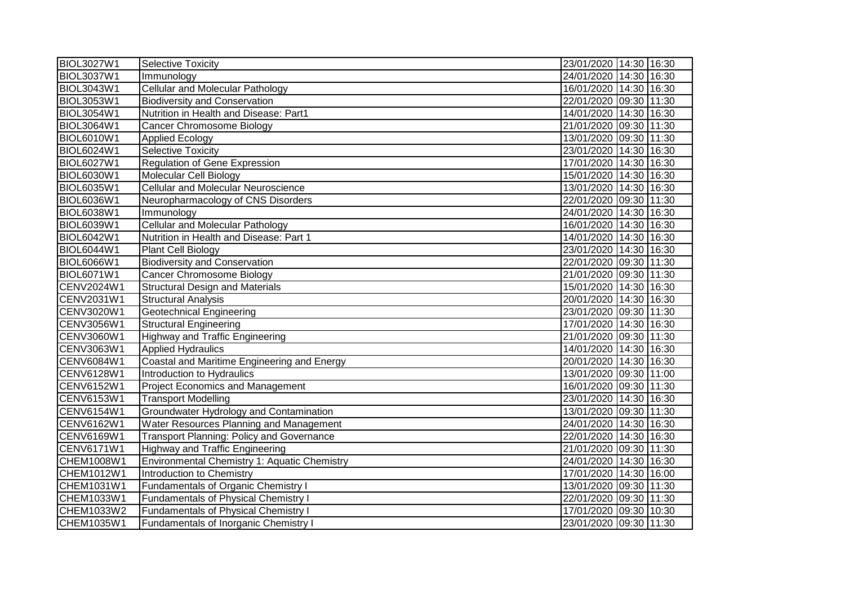| <b>BIOL3027W1</b> | <b>Selective Toxicity</b>                        | 23/01/2020 14:30 16:30 |
|-------------------|--------------------------------------------------|------------------------|
| <b>BIOL3037W1</b> | Immunology                                       | 24/01/2020 14:30 16:30 |
| <b>BIOL3043W1</b> | <b>Cellular and Molecular Pathology</b>          | 16/01/2020 14:30 16:30 |
| <b>BIOL3053W1</b> | <b>Biodiversity and Conservation</b>             | 22/01/2020 09:30 11:30 |
| <b>BIOL3054W1</b> | Nutrition in Health and Disease: Part1           | 14/01/2020 14:30 16:30 |
| BIOL3064W1        | <b>Cancer Chromosome Biology</b>                 | 21/01/2020 09:30 11:30 |
| <b>BIOL6010W1</b> | <b>Applied Ecology</b>                           | 13/01/2020 09:30 11:30 |
| <b>BIOL6024W1</b> | <b>Selective Toxicity</b>                        | 23/01/2020 14:30 16:30 |
| <b>BIOL6027W1</b> | Regulation of Gene Expression                    | 17/01/2020 14:30 16:30 |
| <b>BIOL6030W1</b> | Molecular Cell Biology                           | 15/01/2020 14:30 16:30 |
| <b>BIOL6035W1</b> | <b>Cellular and Molecular Neuroscience</b>       | 13/01/2020 14:30 16:30 |
| BIOL6036W1        | Neuropharmacology of CNS Disorders               | 22/01/2020 09:30 11:30 |
| <b>BIOL6038W1</b> | Immunology                                       | 24/01/2020 14:30 16:30 |
| <b>BIOL6039W1</b> | <b>Cellular and Molecular Pathology</b>          | 16/01/2020 14:30 16:30 |
| BIOL6042W1        | Nutrition in Health and Disease: Part 1          | 14/01/2020 14:30 16:30 |
| BIOL6044W1        | <b>Plant Cell Biology</b>                        | 23/01/2020 14:30 16:30 |
| <b>BIOL6066W1</b> | <b>Biodiversity and Conservation</b>             | 22/01/2020 09:30 11:30 |
| <b>BIOL6071W1</b> | Cancer Chromosome Biology                        | 21/01/2020 09:30 11:30 |
| CENV2024W1        | <b>Structural Design and Materials</b>           | 15/01/2020 14:30 16:30 |
| CENV2031W1        | <b>Structural Analysis</b>                       | 20/01/2020 14:30 16:30 |
| CENV3020W1        | <b>Geotechnical Engineering</b>                  | 23/01/2020 09:30 11:30 |
| CENV3056W1        | <b>Structural Engineering</b>                    | 17/01/2020 14:30 16:30 |
| CENV3060W1        | <b>Highway and Traffic Engineering</b>           | 21/01/2020 09:30 11:30 |
| CENV3063W1        | <b>Applied Hydraulics</b>                        | 14/01/2020 14:30 16:30 |
| CENV6084W1        | Coastal and Maritime Engineering and Energy      | 20/01/2020 14:30 16:30 |
| CENV6128W1        | Introduction to Hydraulics                       | 13/01/2020 09:30 11:00 |
| CENV6152W1        | <b>Project Economics and Management</b>          | 16/01/2020 09:30 11:30 |
| CENV6153W1        | <b>Transport Modelling</b>                       | 23/01/2020 14:30 16:30 |
| <b>CENV6154W1</b> | Groundwater Hydrology and Contamination          | 13/01/2020 09:30 11:30 |
| CENV6162W1        | Water Resources Planning and Management          | 24/01/2020 14:30 16:30 |
| CENV6169W1        | <b>Transport Planning: Policy and Governance</b> | 22/01/2020 14:30 16:30 |
| CENV6171W1        | <b>Highway and Traffic Engineering</b>           | 21/01/2020 09:30 11:30 |
| CHEM1008W1        | Environmental Chemistry 1: Aquatic Chemistry     | 24/01/2020 14:30 16:30 |
| CHEM1012W1        | Introduction to Chemistry                        | 17/01/2020 14:30 16:00 |
| CHEM1031W1        | Fundamentals of Organic Chemistry I              | 13/01/2020 09:30 11:30 |
| CHEM1033W1        | <b>Fundamentals of Physical Chemistry I</b>      | 22/01/2020 09:30 11:30 |
| CHEM1033W2        | <b>Fundamentals of Physical Chemistry I</b>      | 17/01/2020 09:30 10:30 |
| CHEM1035W1        | <b>Fundamentals of Inorganic Chemistry I</b>     | 23/01/2020 09:30 11:30 |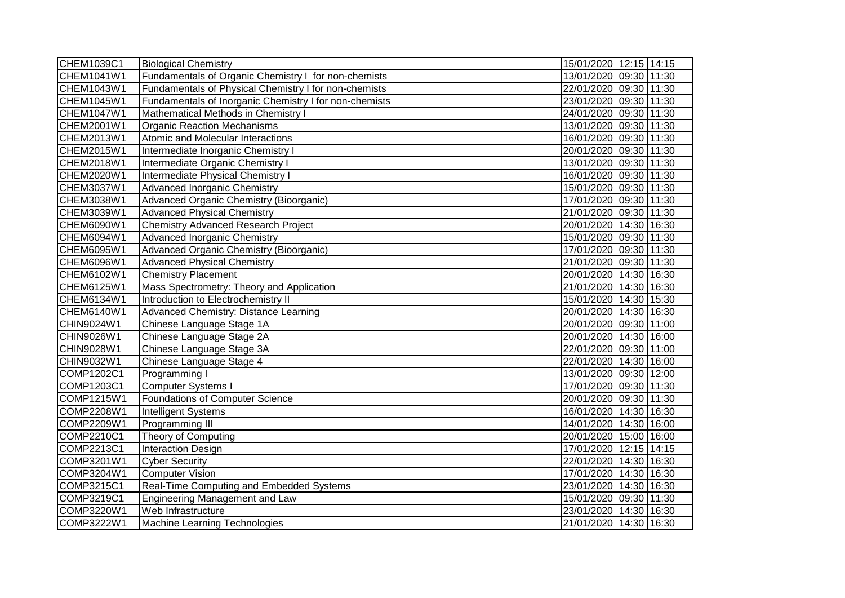| CHEM1039C1 | <b>Biological Chemistry</b>                            | 15/01/2020 12:15 14:15 |
|------------|--------------------------------------------------------|------------------------|
| CHEM1041W1 | Fundamentals of Organic Chemistry I for non-chemists   | 13/01/2020 09:30 11:30 |
| CHEM1043W1 | Fundamentals of Physical Chemistry I for non-chemists  | 22/01/2020 09:30 11:30 |
| CHEM1045W1 | Fundamentals of Inorganic Chemistry I for non-chemists | 23/01/2020 09:30 11:30 |
| CHEM1047W1 | Mathematical Methods in Chemistry I                    | 24/01/2020 09:30 11:30 |
| CHEM2001W1 | <b>Organic Reaction Mechanisms</b>                     | 13/01/2020 09:30 11:30 |
| CHEM2013W1 | Atomic and Molecular Interactions                      | 16/01/2020 09:30 11:30 |
| CHEM2015W1 | Intermediate Inorganic Chemistry I                     | 20/01/2020 09:30 11:30 |
| CHEM2018W1 | Intermediate Organic Chemistry I                       | 13/01/2020 09:30 11:30 |
| CHEM2020W1 | Intermediate Physical Chemistry I                      | 16/01/2020 09:30 11:30 |
| CHEM3037W1 | Advanced Inorganic Chemistry                           | 15/01/2020 09:30 11:30 |
| CHEM3038W1 | Advanced Organic Chemistry (Bioorganic)                | 17/01/2020 09:30 11:30 |
| CHEM3039W1 | <b>Advanced Physical Chemistry</b>                     | 21/01/2020 09:30 11:30 |
| CHEM6090W1 | <b>Chemistry Advanced Research Project</b>             | 20/01/2020 14:30 16:30 |
| CHEM6094W1 | <b>Advanced Inorganic Chemistry</b>                    | 15/01/2020 09:30 11:30 |
| CHEM6095W1 | Advanced Organic Chemistry (Bioorganic)                | 17/01/2020 09:30 11:30 |
| CHEM6096W1 | <b>Advanced Physical Chemistry</b>                     | 21/01/2020 09:30 11:30 |
| CHEM6102W1 | <b>Chemistry Placement</b>                             | 20/01/2020 14:30 16:30 |
| CHEM6125W1 | Mass Spectrometry: Theory and Application              | 21/01/2020 14:30 16:30 |
| CHEM6134W1 | Introduction to Electrochemistry II                    | 15/01/2020 14:30 15:30 |
| CHEM6140W1 | Advanced Chemistry: Distance Learning                  | 20/01/2020 14:30 16:30 |
| CHIN9024W1 | Chinese Language Stage 1A                              | 20/01/2020 09:30 11:00 |
| CHIN9026W1 | Chinese Language Stage 2A                              | 20/01/2020 14:30 16:00 |
| CHIN9028W1 | Chinese Language Stage 3A                              | 22/01/2020 09:30 11:00 |
| CHIN9032W1 | Chinese Language Stage 4                               | 22/01/2020 14:30 16:00 |
| COMP1202C1 | Programming I                                          | 13/01/2020 09:30 12:00 |
| COMP1203C1 | <b>Computer Systems I</b>                              | 17/01/2020 09:30 11:30 |
| COMP1215W1 | Foundations of Computer Science                        | 20/01/2020 09:30 11:30 |
| COMP2208W1 | Intelligent Systems                                    | 16/01/2020 14:30 16:30 |
| COMP2209W1 | Programming III                                        | 14/01/2020 14:30 16:00 |
| COMP2210C1 | Theory of Computing                                    | 20/01/2020 15:00 16:00 |
| COMP2213C1 | <b>Interaction Design</b>                              | 17/01/2020 12:15 14:15 |
| COMP3201W1 | <b>Cyber Security</b>                                  | 22/01/2020 14:30 16:30 |
| COMP3204W1 | Computer Vision                                        | 17/01/2020 14:30 16:30 |
| COMP3215C1 | Real-Time Computing and Embedded Systems               | 23/01/2020 14:30 16:30 |
| COMP3219C1 | Engineering Management and Law                         | 15/01/2020 09:30 11:30 |
| COMP3220W1 | Web Infrastructure                                     | 23/01/2020 14:30 16:30 |
| COMP3222W1 | Machine Learning Technologies                          | 21/01/2020 14:30 16:30 |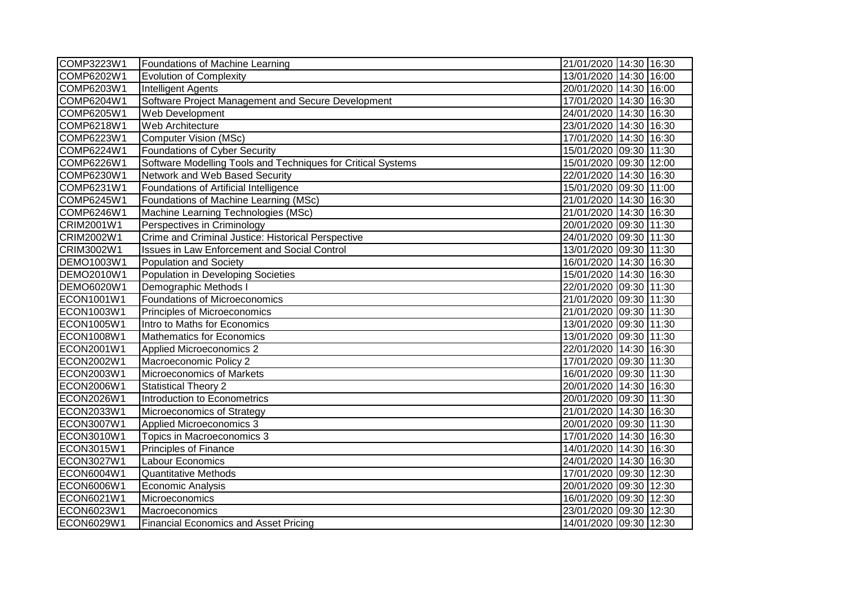| COMP3223W1        | Foundations of Machine Learning                              | 21/01/2020 14:30 16:30 |
|-------------------|--------------------------------------------------------------|------------------------|
| COMP6202W1        | <b>Evolution of Complexity</b>                               | 13/01/2020 14:30 16:00 |
| COMP6203W1        | <b>Intelligent Agents</b>                                    | 20/01/2020 14:30 16:00 |
| COMP6204W1        | Software Project Management and Secure Development           | 17/01/2020 14:30 16:30 |
| COMP6205W1        | Web Development                                              | 24/01/2020 14:30 16:30 |
| COMP6218W1        | Web Architecture                                             | 23/01/2020 14:30 16:30 |
| COMP6223W1        | <b>Computer Vision (MSc)</b>                                 | 17/01/2020 14:30 16:30 |
| <b>COMP6224W1</b> | <b>Foundations of Cyber Security</b>                         | 15/01/2020 09:30 11:30 |
| <b>COMP6226W1</b> | Software Modelling Tools and Techniques for Critical Systems | 15/01/2020 09:30 12:00 |
| COMP6230W1        | Network and Web Based Security                               | 22/01/2020 14:30 16:30 |
| COMP6231W1        | Foundations of Artificial Intelligence                       | 15/01/2020 09:30 11:00 |
| COMP6245W1        | Foundations of Machine Learning (MSc)                        | 21/01/2020 14:30 16:30 |
| COMP6246W1        | Machine Learning Technologies (MSc)                          | 21/01/2020 14:30 16:30 |
| CRIM2001W1        | Perspectives in Criminology                                  | 20/01/2020 09:30 11:30 |
| CRIM2002W1        | Crime and Criminal Justice: Historical Perspective           | 24/01/2020 09:30 11:30 |
| CRIM3002W1        | <b>Issues in Law Enforcement and Social Control</b>          | 13/01/2020 09:30 11:30 |
| DEMO1003W1        | Population and Society                                       | 16/01/2020 14:30 16:30 |
| DEMO2010W1        | Population in Developing Societies                           | 15/01/2020 14:30 16:30 |
| <b>DEMO6020W1</b> | Demographic Methods I                                        | 22/01/2020 09:30 11:30 |
| ECON1001W1        | Foundations of Microeconomics                                | 21/01/2020 09:30 11:30 |
| ECON1003W1        | Principles of Microeconomics                                 | 21/01/2020 09:30 11:30 |
| ECON1005W1        | Intro to Maths for Economics                                 | 13/01/2020 09:30 11:30 |
| ECON1008W1        | <b>Mathematics for Economics</b>                             | 13/01/2020 09:30 11:30 |
| ECON2001W1        | Applied Microeconomics 2                                     | 22/01/2020 14:30 16:30 |
| ECON2002W1        | Macroeconomic Policy 2                                       | 17/01/2020 09:30 11:30 |
| ECON2003W1        | Microeconomics of Markets                                    | 16/01/2020 09:30 11:30 |
| ECON2006W1        | <b>Statistical Theory 2</b>                                  | 20/01/2020 14:30 16:30 |
| ECON2026W1        | Introduction to Econometrics                                 | 20/01/2020 09:30 11:30 |
| ECON2033W1        | Microeconomics of Strategy                                   | 21/01/2020 14:30 16:30 |
| ECON3007W1        | Applied Microeconomics 3                                     | 20/01/2020 09:30 11:30 |
| ECON3010W1        | Topics in Macroeconomics 3                                   | 17/01/2020 14:30 16:30 |
| ECON3015W1        | <b>Principles of Finance</b>                                 | 14/01/2020 14:30 16:30 |
| ECON3027W1        | Labour Economics                                             | 24/01/2020 14:30 16:30 |
| ECON6004W1        | <b>Quantitative Methods</b>                                  | 17/01/2020 09:30 12:30 |
| ECON6006W1        | <b>Economic Analysis</b>                                     | 20/01/2020 09:30 12:30 |
| ECON6021W1        | Microeconomics                                               | 16/01/2020 09:30 12:30 |
| ECON6023W1        | Macroeconomics                                               | 23/01/2020 09:30 12:30 |
| ECON6029W1        | <b>Financial Economics and Asset Pricing</b>                 | 14/01/2020 09:30 12:30 |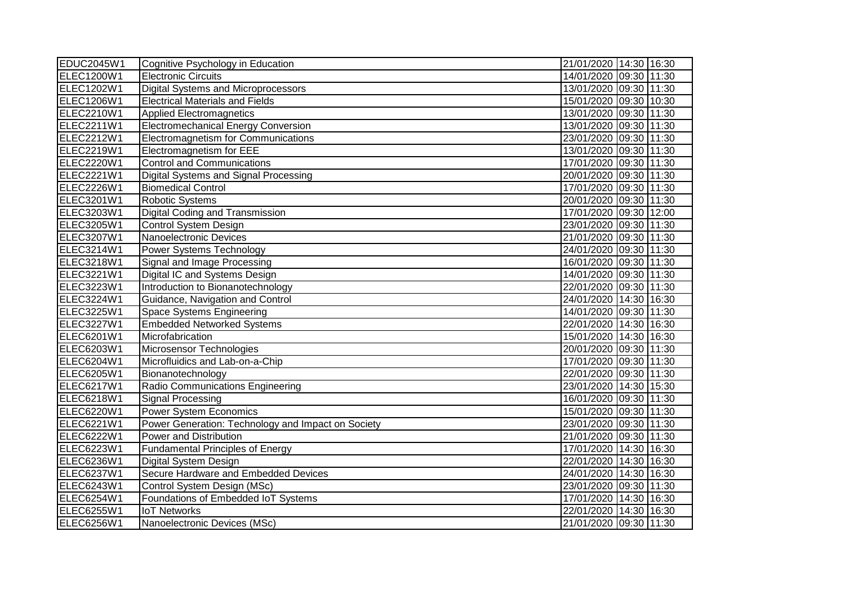| EDUC2045W1        | Cognitive Psychology in Education                  | 21/01/2020 14:30 16:30 |
|-------------------|----------------------------------------------------|------------------------|
| <b>ELEC1200W1</b> | <b>Electronic Circuits</b>                         | 14/01/2020 09:30 11:30 |
| ELEC1202W1        | <b>Digital Systems and Microprocessors</b>         | 13/01/2020 09:30 11:30 |
| <b>ELEC1206W1</b> | <b>Electrical Materials and Fields</b>             | 15/01/2020 09:30 10:30 |
| ELEC2210W1        | <b>Applied Electromagnetics</b>                    | 13/01/2020 09:30 11:30 |
| ELEC2211W1        | <b>Electromechanical Energy Conversion</b>         | 13/01/2020 09:30 11:30 |
| ELEC2212W1        | <b>Electromagnetism for Communications</b>         | 23/01/2020 09:30 11:30 |
| ELEC2219W1        | Electromagnetism for EEE                           | 13/01/2020 09:30 11:30 |
| ELEC2220W1        | <b>Control and Communications</b>                  | 17/01/2020 09:30 11:30 |
| ELEC2221W1        | Digital Systems and Signal Processing              | 20/01/2020 09:30 11:30 |
| ELEC2226W1        | <b>Biomedical Control</b>                          | 17/01/2020 09:30 11:30 |
| ELEC3201W1        | Robotic Systems                                    | 20/01/2020 09:30 11:30 |
| ELEC3203W1        | Digital Coding and Transmission                    | 17/01/2020 09:30 12:00 |
| ELEC3205W1        | Control System Design                              | 23/01/2020 09:30 11:30 |
| ELEC3207W1        | Nanoelectronic Devices                             | 21/01/2020 09:30 11:30 |
| ELEC3214W1        | Power Systems Technology                           | 24/01/2020 09:30 11:30 |
| ELEC3218W1        | Signal and Image Processing                        | 16/01/2020 09:30 11:30 |
| ELEC3221W1        | Digital IC and Systems Design                      | 14/01/2020 09:30 11:30 |
| ELEC3223W1        | Introduction to Bionanotechnology                  | 22/01/2020 09:30 11:30 |
| ELEC3224W1        | Guidance, Navigation and Control                   | 24/01/2020 14:30 16:30 |
| ELEC3225W1        | Space Systems Engineering                          | 14/01/2020 09:30 11:30 |
| ELEC3227W1        | <b>Embedded Networked Systems</b>                  | 22/01/2020 14:30 16:30 |
| ELEC6201W1        | Microfabrication                                   | 15/01/2020 14:30 16:30 |
| ELEC6203W1        | Microsensor Technologies                           | 20/01/2020 09:30 11:30 |
| ELEC6204W1        | Microfluidics and Lab-on-a-Chip                    | 17/01/2020 09:30 11:30 |
| ELEC6205W1        | Bionanotechnology                                  | 22/01/2020 09:30 11:30 |
| ELEC6217W1        | Radio Communications Engineering                   | 23/01/2020 14:30 15:30 |
| ELEC6218W1        | <b>Signal Processing</b>                           | 16/01/2020 09:30 11:30 |
| ELEC6220W1        | <b>Power System Economics</b>                      | 15/01/2020 09:30 11:30 |
| ELEC6221W1        | Power Generation: Technology and Impact on Society | 23/01/2020 09:30 11:30 |
| ELEC6222W1        | Power and Distribution                             | 21/01/2020 09:30 11:30 |
| ELEC6223W1        | <b>Fundamental Principles of Energy</b>            | 17/01/2020 14:30 16:30 |
| ELEC6236W1        | Digital System Design                              | 22/01/2020 14:30 16:30 |
| ELEC6237W1        | Secure Hardware and Embedded Devices               | 24/01/2020 14:30 16:30 |
| ELEC6243W1        | Control System Design (MSc)                        | 23/01/2020 09:30 11:30 |
| ELEC6254W1        | Foundations of Embedded IoT Systems                | 17/01/2020 14:30 16:30 |
| <b>ELEC6255W1</b> | <b>IoT Networks</b>                                | 22/01/2020 14:30 16:30 |
| ELEC6256W1        | Nanoelectronic Devices (MSc)                       | 21/01/2020 09:30 11:30 |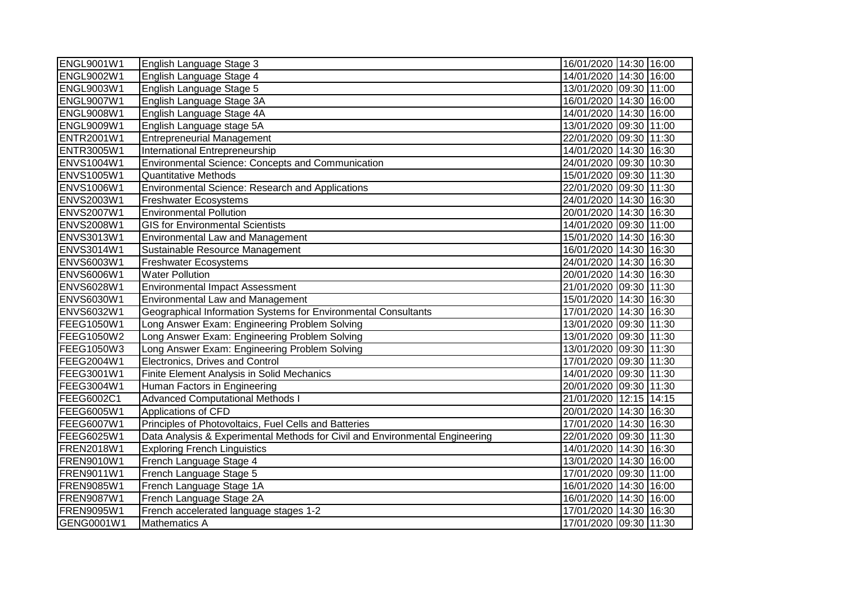| <b>ENGL9001W1</b> | English Language Stage 3                                                     | 16/01/2020 14:30 16:00 |
|-------------------|------------------------------------------------------------------------------|------------------------|
| ENGL9002W1        | English Language Stage 4                                                     | 14/01/2020 14:30 16:00 |
| <b>ENGL9003W1</b> | English Language Stage 5                                                     | 13/01/2020 09:30 11:00 |
| ENGL9007W1        | English Language Stage 3A                                                    | 16/01/2020 14:30 16:00 |
| <b>ENGL9008W1</b> | English Language Stage 4A                                                    | 14/01/2020 14:30 16:00 |
| <b>ENGL9009W1</b> | English Language stage 5A                                                    | 13/01/2020 09:30 11:00 |
| ENTR2001W1        | <b>Entrepreneurial Management</b>                                            | 22/01/2020 09:30 11:30 |
| <b>ENTR3005W1</b> | International Entrepreneurship                                               | 14/01/2020 14:30 16:30 |
| <b>ENVS1004W1</b> | <b>Environmental Science: Concepts and Communication</b>                     | 24/01/2020 09:30 10:30 |
| <b>ENVS1005W1</b> | Quantitative Methods                                                         | 15/01/2020 09:30 11:30 |
| <b>ENVS1006W1</b> | Environmental Science: Research and Applications                             | 22/01/2020 09:30 11:30 |
| <b>ENVS2003W1</b> | <b>Freshwater Ecosystems</b>                                                 | 24/01/2020 14:30 16:30 |
| <b>ENVS2007W1</b> | <b>Environmental Pollution</b>                                               | 20/01/2020 14:30 16:30 |
| <b>ENVS2008W1</b> | <b>GIS for Environmental Scientists</b>                                      | 14/01/2020 09:30 11:00 |
| <b>ENVS3013W1</b> | <b>Environmental Law and Management</b>                                      | 15/01/2020 14:30 16:30 |
| <b>ENVS3014W1</b> | Sustainable Resource Management                                              | 16/01/2020 14:30 16:30 |
| <b>ENVS6003W1</b> | <b>Freshwater Ecosystems</b>                                                 | 24/01/2020 14:30 16:30 |
| <b>ENVS6006W1</b> | <b>Water Pollution</b>                                                       | 20/01/2020 14:30 16:30 |
| <b>ENVS6028W1</b> | <b>Environmental Impact Assessment</b>                                       | 21/01/2020 09:30 11:30 |
| <b>ENVS6030W1</b> | <b>Environmental Law and Management</b>                                      | 15/01/2020 14:30 16:30 |
| <b>ENVS6032W1</b> | Geographical Information Systems for Environmental Consultants               | 17/01/2020 14:30 16:30 |
| FEEG1050W1        | Long Answer Exam: Engineering Problem Solving                                | 13/01/2020 09:30 11:30 |
| <b>FEEG1050W2</b> | Long Answer Exam: Engineering Problem Solving                                | 13/01/2020 09:30 11:30 |
| FEEG1050W3        | Long Answer Exam: Engineering Problem Solving                                | 13/01/2020 09:30 11:30 |
| <b>FEEG2004W1</b> | Electronics, Drives and Control                                              | 17/01/2020 09:30 11:30 |
| FEEG3001W1        | Finite Element Analysis in Solid Mechanics                                   | 14/01/2020 09:30 11:30 |
| FEEG3004W1        | Human Factors in Engineering                                                 | 20/01/2020 09:30 11:30 |
| FEEG6002C1        | <b>Advanced Computational Methods I</b>                                      | 21/01/2020 12:15 14:15 |
| FEEG6005W1        | Applications of CFD                                                          | 20/01/2020 14:30 16:30 |
| FEEG6007W1        | Principles of Photovoltaics, Fuel Cells and Batteries                        | 17/01/2020 14:30 16:30 |
| <b>FEEG6025W1</b> | Data Analysis & Experimental Methods for Civil and Environmental Engineering | 22/01/2020 09:30 11:30 |
| <b>FREN2018W1</b> | <b>Exploring French Linguistics</b>                                          | 14/01/2020 14:30 16:30 |
| <b>FREN9010W1</b> | French Language Stage 4                                                      | 13/01/2020 14:30 16:00 |
| FREN9011W1        | French Language Stage 5                                                      | 17/01/2020 09:30 11:00 |
| <b>FREN9085W1</b> | French Language Stage 1A                                                     | 16/01/2020 14:30 16:00 |
| FREN9087W1        | French Language Stage 2A                                                     | 16/01/2020 14:30 16:00 |
| FREN9095W1        | French accelerated language stages 1-2                                       | 17/01/2020 14:30 16:30 |
| GENG0001W1        | Mathematics A                                                                | 17/01/2020 09:30 11:30 |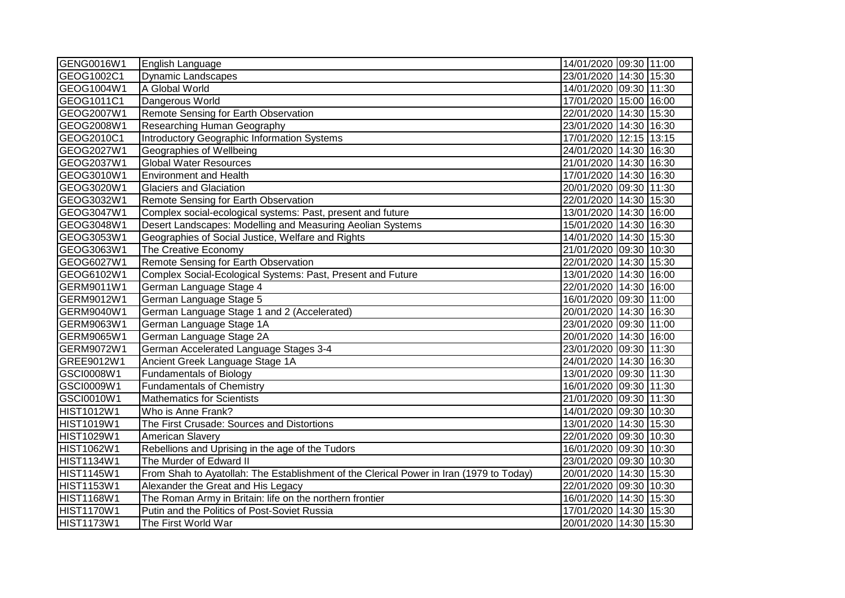| GENG0016W1        | English Language                                                                        | 14/01/2020 09:30 11:00 |
|-------------------|-----------------------------------------------------------------------------------------|------------------------|
| GEOG1002C1        | <b>Dynamic Landscapes</b>                                                               | 23/01/2020 14:30 15:30 |
| GEOG1004W1        | A Global World                                                                          | 14/01/2020 09:30 11:30 |
| GEOG1011C1        | Dangerous World                                                                         | 17/01/2020 15:00 16:00 |
| GEOG2007W1        | Remote Sensing for Earth Observation                                                    | 22/01/2020 14:30 15:30 |
| GEOG2008W1        | Researching Human Geography                                                             | 23/01/2020 14:30 16:30 |
| GEOG2010C1        | <b>Introductory Geographic Information Systems</b>                                      | 17/01/2020 12:15 13:15 |
| GEOG2027W1        | Geographies of Wellbeing                                                                | 24/01/2020 14:30 16:30 |
| GEOG2037W1        | <b>Global Water Resources</b>                                                           | 21/01/2020 14:30 16:30 |
| GEOG3010W1        | <b>Environment and Health</b>                                                           | 17/01/2020 14:30 16:30 |
| GEOG3020W1        | <b>Glaciers and Glaciation</b>                                                          | 20/01/2020 09:30 11:30 |
| GEOG3032W1        | Remote Sensing for Earth Observation                                                    | 22/01/2020 14:30 15:30 |
| GEOG3047W1        | Complex social-ecological systems: Past, present and future                             | 13/01/2020 14:30 16:00 |
| GEOG3048W1        | Desert Landscapes: Modelling and Measuring Aeolian Systems                              | 15/01/2020 14:30 16:30 |
| GEOG3053W1        | Geographies of Social Justice, Welfare and Rights                                       | 14/01/2020 14:30 15:30 |
| GEOG3063W1        | The Creative Economy                                                                    | 21/01/2020 09:30 10:30 |
| GEOG6027W1        | Remote Sensing for Earth Observation                                                    | 22/01/2020 14:30 15:30 |
| GEOG6102W1        | Complex Social-Ecological Systems: Past, Present and Future                             | 13/01/2020 14:30 16:00 |
| GERM9011W1        | German Language Stage 4                                                                 | 22/01/2020 14:30 16:00 |
| GERM9012W1        | German Language Stage 5                                                                 | 16/01/2020 09:30 11:00 |
| GERM9040W1        | German Language Stage 1 and 2 (Accelerated)                                             | 20/01/2020 14:30 16:30 |
| GERM9063W1        | German Language Stage 1A                                                                | 23/01/2020 09:30 11:00 |
| GERM9065W1        | German Language Stage 2A                                                                | 20/01/2020 14:30 16:00 |
| GERM9072W1        | German Accelerated Language Stages 3-4                                                  | 23/01/2020 09:30 11:30 |
| GREE9012W1        | Ancient Greek Language Stage 1A                                                         | 24/01/2020 14:30 16:30 |
| GSCI0008W1        | <b>Fundamentals of Biology</b>                                                          | 13/01/2020 09:30 11:30 |
| GSCI0009W1        | <b>Fundamentals of Chemistry</b>                                                        | 16/01/2020 09:30 11:30 |
| GSCI0010W1        | <b>Mathematics for Scientists</b>                                                       | 21/01/2020 09:30 11:30 |
| <b>HIST1012W1</b> | Who is Anne Frank?                                                                      | 14/01/2020 09:30 10:30 |
| <b>HIST1019W1</b> | The First Crusade: Sources and Distortions                                              | 13/01/2020 14:30 15:30 |
| HIST1029W1        | <b>American Slavery</b>                                                                 | 22/01/2020 09:30 10:30 |
| <b>HIST1062W1</b> | Rebellions and Uprising in the age of the Tudors                                        | 16/01/2020 09:30 10:30 |
| <b>HIST1134W1</b> | The Murder of Edward II                                                                 | 23/01/2020 09:30 10:30 |
| <b>HIST1145W1</b> | From Shah to Ayatollah: The Establishment of the Clerical Power in Iran (1979 to Today) | 20/01/2020 14:30 15:30 |
| HIST1153W1        | Alexander the Great and His Legacy                                                      | 22/01/2020 09:30 10:30 |
| <b>HIST1168W1</b> | The Roman Army in Britain: life on the northern frontier                                | 16/01/2020 14:30 15:30 |
| <b>HIST1170W1</b> | Putin and the Politics of Post-Soviet Russia                                            | 17/01/2020 14:30 15:30 |
| <b>HIST1173W1</b> | The First World War                                                                     | 20/01/2020 14:30 15:30 |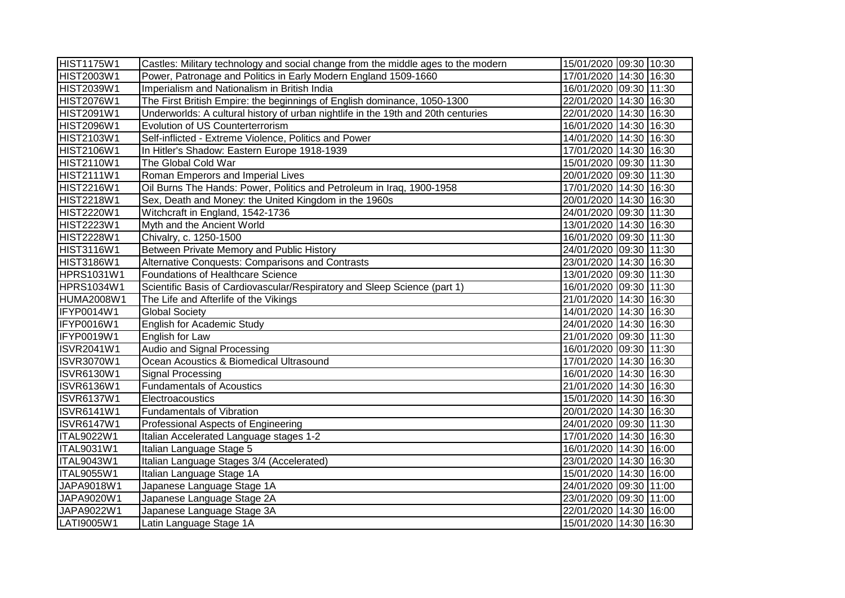| <b>HIST1175W1</b> | Castles: Military technology and social change from the middle ages to the modern | 15/01/2020 09:30 10:30 |
|-------------------|-----------------------------------------------------------------------------------|------------------------|
| <b>HIST2003W1</b> | Power, Patronage and Politics in Early Modern England 1509-1660                   | 17/01/2020 14:30 16:30 |
| <b>HIST2039W1</b> | Imperialism and Nationalism in British India                                      | 16/01/2020 09:30 11:30 |
| <b>HIST2076W1</b> | The First British Empire: the beginnings of English dominance, 1050-1300          | 22/01/2020 14:30 16:30 |
| HIST2091W1        | Underworlds: A cultural history of urban nightlife in the 19th and 20th centuries | 22/01/2020 14:30 16:30 |
| <b>HIST2096W1</b> | Evolution of US Counterterrorism                                                  | 16/01/2020 14:30 16:30 |
| <b>HIST2103W1</b> | Self-inflicted - Extreme Violence, Politics and Power                             | 14/01/2020 14:30 16:30 |
| <b>HIST2106W1</b> | In Hitler's Shadow: Eastern Europe 1918-1939                                      | 17/01/2020 14:30 16:30 |
| HIST2110W1        | The Global Cold War                                                               | 15/01/2020 09:30 11:30 |
| HIST2111W1        | Roman Emperors and Imperial Lives                                                 | 20/01/2020 09:30 11:30 |
| <b>HIST2216W1</b> | Oil Burns The Hands: Power, Politics and Petroleum in Iraq, 1900-1958             | 17/01/2020 14:30 16:30 |
| <b>HIST2218W1</b> | Sex, Death and Money: the United Kingdom in the 1960s                             | 20/01/2020 14:30 16:30 |
| <b>HIST2220W1</b> | Witchcraft in England, 1542-1736                                                  | 24/01/2020 09:30 11:30 |
| <b>HIST2223W1</b> | Myth and the Ancient World                                                        | 13/01/2020 14:30 16:30 |
| <b>HIST2228W1</b> | Chivalry, c. 1250-1500                                                            | 16/01/2020 09:30 11:30 |
| HIST3116W1        | Between Private Memory and Public History                                         | 24/01/2020 09:30 11:30 |
| HIST3186W1        | Alternative Conquests: Comparisons and Contrasts                                  | 23/01/2020 14:30 16:30 |
| <b>HPRS1031W1</b> | Foundations of Healthcare Science                                                 | 13/01/2020 09:30 11:30 |
| <b>HPRS1034W1</b> | Scientific Basis of Cardiovascular/Respiratory and Sleep Science (part 1)         | 16/01/2020 09:30 11:30 |
| <b>HUMA2008W1</b> | The Life and Afterlife of the Vikings                                             | 21/01/2020 14:30 16:30 |
| <b>IFYP0014W1</b> | <b>Global Society</b>                                                             | 14/01/2020 14:30 16:30 |
| <b>IFYP0016W1</b> | English for Academic Study                                                        | 24/01/2020 14:30 16:30 |
| IFYP0019W1        | English for Law                                                                   | 21/01/2020 09:30 11:30 |
| <b>ISVR2041W1</b> | Audio and Signal Processing                                                       | 16/01/2020 09:30 11:30 |
| <b>ISVR3070W1</b> | Ocean Acoustics & Biomedical Ultrasound                                           | 17/01/2020 14:30 16:30 |
| <b>ISVR6130W1</b> | Signal Processing                                                                 | 16/01/2020 14:30 16:30 |
| <b>ISVR6136W1</b> | <b>Fundamentals of Acoustics</b>                                                  | 21/01/2020 14:30 16:30 |
| <b>ISVR6137W1</b> | Electroacoustics                                                                  | 15/01/2020 14:30 16:30 |
| <b>ISVR6141W1</b> | <b>Fundamentals of Vibration</b>                                                  | 20/01/2020 14:30 16:30 |
| <b>ISVR6147W1</b> | Professional Aspects of Engineering                                               | 24/01/2020 09:30 11:30 |
| <b>ITAL9022W1</b> | Italian Accelerated Language stages 1-2                                           | 17/01/2020 14:30 16:30 |
| ITAL9031W1        | Italian Language Stage 5                                                          | 16/01/2020 14:30 16:00 |
| <b>ITAL9043W1</b> | Italian Language Stages 3/4 (Accelerated)                                         | 23/01/2020 14:30 16:30 |
| <b>ITAL9055W1</b> | Italian Language Stage 1A                                                         | 15/01/2020 14:30 16:00 |
| JAPA9018W1        | Japanese Language Stage 1A                                                        | 24/01/2020 09:30 11:00 |
| JAPA9020W1        | Japanese Language Stage 2A                                                        | 23/01/2020 09:30 11:00 |
| JAPA9022W1        | Japanese Language Stage 3A                                                        | 22/01/2020 14:30 16:00 |
| LATI9005W1        | Latin Language Stage 1A                                                           | 15/01/2020 14:30 16:30 |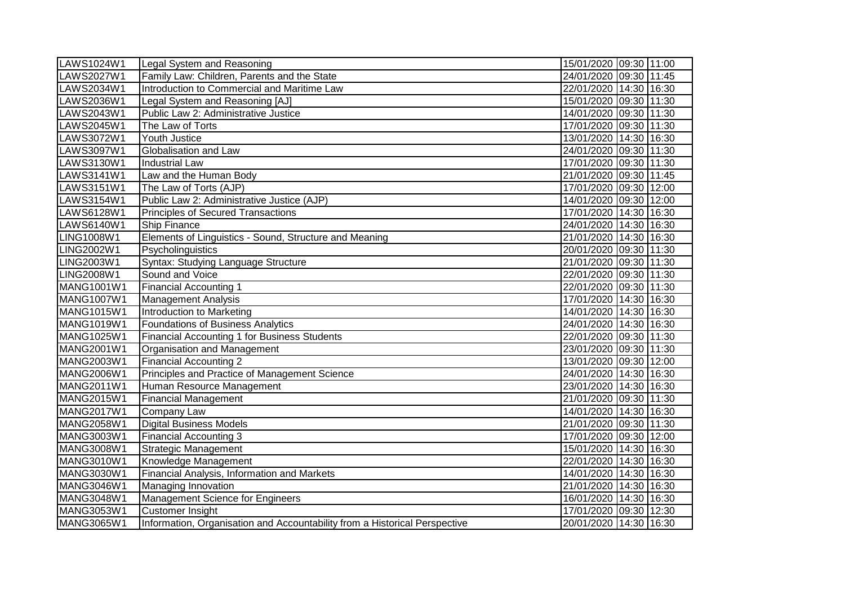| LAWS1024W1        | Legal System and Reasoning                                                 | 15/01/2020 09:30 11:00 |
|-------------------|----------------------------------------------------------------------------|------------------------|
| LAWS2027W1        | Family Law: Children, Parents and the State                                | 24/01/2020 09:30 11:45 |
| LAWS2034W1        | Introduction to Commercial and Maritime Law                                | 22/01/2020 14:30 16:30 |
| LAWS2036W1        | Legal System and Reasoning [AJ]                                            | 15/01/2020 09:30 11:30 |
| LAWS2043W1        | Public Law 2: Administrative Justice                                       | 14/01/2020 09:30 11:30 |
| LAWS2045W1        | The Law of Torts                                                           | 17/01/2020 09:30 11:30 |
| LAWS3072W1        | Youth Justice                                                              | 13/01/2020 14:30 16:30 |
| LAWS3097W1        | Globalisation and Law                                                      | 24/01/2020 09:30 11:30 |
| LAWS3130W1        | <b>Industrial Law</b>                                                      | 17/01/2020 09:30 11:30 |
| LAWS3141W1        | Law and the Human Body                                                     | 21/01/2020 09:30 11:45 |
| LAWS3151W1        | The Law of Torts (AJP)                                                     | 17/01/2020 09:30 12:00 |
| LAWS3154W1        | Public Law 2: Administrative Justice (AJP)                                 | 14/01/2020 09:30 12:00 |
| LAWS6128W1        | <b>Principles of Secured Transactions</b>                                  | 17/01/2020 14:30 16:30 |
| LAWS6140W1        | Ship Finance                                                               | 24/01/2020 14:30 16:30 |
| LING1008W1        | Elements of Linguistics - Sound, Structure and Meaning                     | 21/01/2020 14:30 16:30 |
| LING2002W1        | Psycholinguistics                                                          | 20/01/2020 09:30 11:30 |
| LING2003W1        | Syntax: Studying Language Structure                                        | 21/01/2020 09:30 11:30 |
| <b>LING2008W1</b> | Sound and Voice                                                            | 22/01/2020 09:30 11:30 |
| <b>MANG1001W1</b> | <b>Financial Accounting 1</b>                                              | 22/01/2020 09:30 11:30 |
| MANG1007W1        | <b>Management Analysis</b>                                                 | 17/01/2020 14:30 16:30 |
| MANG1015W1        | Introduction to Marketing                                                  | 14/01/2020 14:30 16:30 |
| MANG1019W1        | Foundations of Business Analytics                                          | 24/01/2020 14:30 16:30 |
| MANG1025W1        | Financial Accounting 1 for Business Students                               | 22/01/2020 09:30 11:30 |
| <b>MANG2001W1</b> | Organisation and Management                                                | 23/01/2020 09:30 11:30 |
| MANG2003W1        | <b>Financial Accounting 2</b>                                              | 13/01/2020 09:30 12:00 |
| MANG2006W1        | Principles and Practice of Management Science                              | 24/01/2020 14:30 16:30 |
| MANG2011W1        | Human Resource Management                                                  | 23/01/2020 14:30 16:30 |
| MANG2015W1        | <b>Financial Management</b>                                                | 21/01/2020 09:30 11:30 |
| MANG2017W1        | <b>Company Law</b>                                                         | 14/01/2020 14:30 16:30 |
| <b>MANG2058W1</b> | <b>Digital Business Models</b>                                             | 21/01/2020 09:30 11:30 |
| MANG3003W1        | Financial Accounting 3                                                     | 17/01/2020 09:30 12:00 |
| MANG3008W1        | <b>Strategic Management</b>                                                | 15/01/2020 14:30 16:30 |
| MANG3010W1        | Knowledge Management                                                       | 22/01/2020 14:30 16:30 |
| <b>MANG3030W1</b> | Financial Analysis, Information and Markets                                | 14/01/2020 14:30 16:30 |
| MANG3046W1        | Managing Innovation                                                        | 21/01/2020 14:30 16:30 |
| MANG3048W1        | Management Science for Engineers                                           | 16/01/2020 14:30 16:30 |
| MANG3053W1        | <b>Customer Insight</b>                                                    | 17/01/2020 09:30 12:30 |
| MANG3065W1        | Information, Organisation and Accountability from a Historical Perspective | 20/01/2020 14:30 16:30 |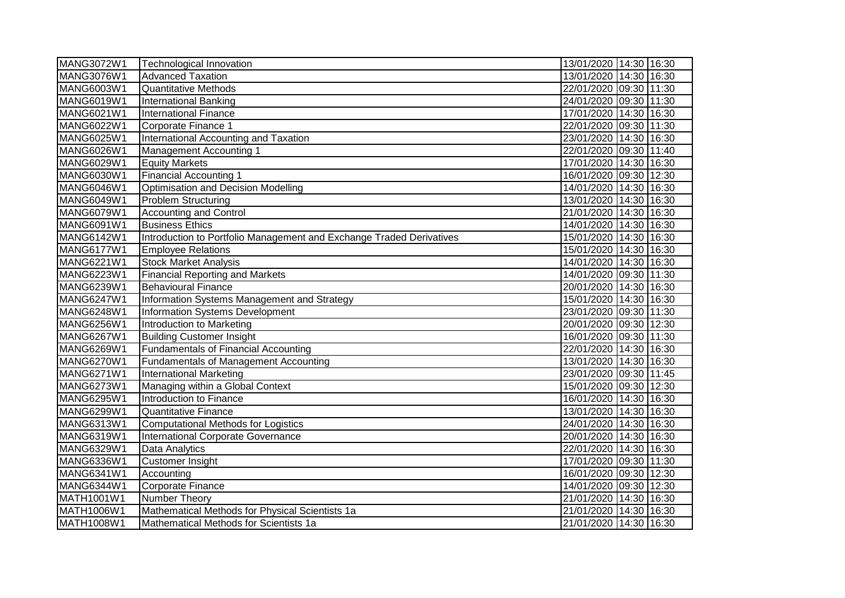| MANG3072W1        | Technological Innovation                                             | 13/01/2020 14:30 16:30 |
|-------------------|----------------------------------------------------------------------|------------------------|
| <b>MANG3076W1</b> | <b>Advanced Taxation</b>                                             | 13/01/2020 14:30 16:30 |
| MANG6003W1        | <b>Quantitative Methods</b>                                          | 22/01/2020 09:30 11:30 |
| MANG6019W1        | <b>International Banking</b>                                         | 24/01/2020 09:30 11:30 |
| MANG6021W1        | <b>International Finance</b>                                         | 17/01/2020 14:30 16:30 |
| MANG6022W1        | Corporate Finance 1                                                  | 22/01/2020 09:30 11:30 |
| <b>MANG6025W1</b> | International Accounting and Taxation                                | 23/01/2020 14:30 16:30 |
| MANG6026W1        | <b>Management Accounting 1</b>                                       | 22/01/2020 09:30 11:40 |
| MANG6029W1        | <b>Equity Markets</b>                                                | 17/01/2020 14:30 16:30 |
| MANG6030W1        | <b>Financial Accounting 1</b>                                        | 16/01/2020 09:30 12:30 |
| MANG6046W1        | <b>Optimisation and Decision Modelling</b>                           | 14/01/2020 14:30 16:30 |
| MANG6049W1        | <b>Problem Structuring</b>                                           | 13/01/2020 14:30 16:30 |
| MANG6079W1        | <b>Accounting and Control</b>                                        | 21/01/2020 14:30 16:30 |
| MANG6091W1        | <b>Business Ethics</b>                                               | 14/01/2020 14:30 16:30 |
| MANG6142W1        | Introduction to Portfolio Management and Exchange Traded Derivatives | 15/01/2020 14:30 16:30 |
| <b>MANG6177W1</b> | <b>Employee Relations</b>                                            | 15/01/2020 14:30 16:30 |
| MANG6221W1        | <b>Stock Market Analysis</b>                                         | 14/01/2020 14:30 16:30 |
| MANG6223W1        | <b>Financial Reporting and Markets</b>                               | 14/01/2020 09:30 11:30 |
| MANG6239W1        | <b>Behavioural Finance</b>                                           | 20/01/2020 14:30 16:30 |
| <b>MANG6247W1</b> | Information Systems Management and Strategy                          | 15/01/2020 14:30 16:30 |
| MANG6248W1        | Information Systems Development                                      | 23/01/2020 09:30 11:30 |
| <b>MANG6256W1</b> | Introduction to Marketing                                            | 20/01/2020 09:30 12:30 |
| <b>MANG6267W1</b> | <b>Building Customer Insight</b>                                     | 16/01/2020 09:30 11:30 |
| MANG6269W1        | <b>Fundamentals of Financial Accounting</b>                          | 22/01/2020 14:30 16:30 |
| MANG6270W1        | <b>Fundamentals of Management Accounting</b>                         | 13/01/2020 14:30 16:30 |
| MANG6271W1        | <b>International Marketing</b>                                       | 23/01/2020 09:30 11:45 |
| MANG6273W1        | Managing within a Global Context                                     | 15/01/2020 09:30 12:30 |
| MANG6295W1        | Introduction to Finance                                              | 16/01/2020 14:30 16:30 |
| MANG6299W1        | <b>Quantitative Finance</b>                                          | 13/01/2020 14:30 16:30 |
| MANG6313W1        | Computational Methods for Logistics                                  | 24/01/2020 14:30 16:30 |
| MANG6319W1        | International Corporate Governance                                   | 20/01/2020 14:30 16:30 |
| MANG6329W1        | Data Analytics                                                       | 22/01/2020 14:30 16:30 |
| MANG6336W1        | <b>Customer Insight</b>                                              | 17/01/2020 09:30 11:30 |
| MANG6341W1        | Accounting                                                           | 16/01/2020 09:30 12:30 |
| MANG6344W1        | Corporate Finance                                                    | 14/01/2020 09:30 12:30 |
| MATH1001W1        | Number Theory                                                        | 21/01/2020 14:30 16:30 |
| MATH1006W1        | Mathematical Methods for Physical Scientists 1a                      | 21/01/2020 14:30 16:30 |
| MATH1008W1        | Mathematical Methods for Scientists 1a                               | 21/01/2020 14:30 16:30 |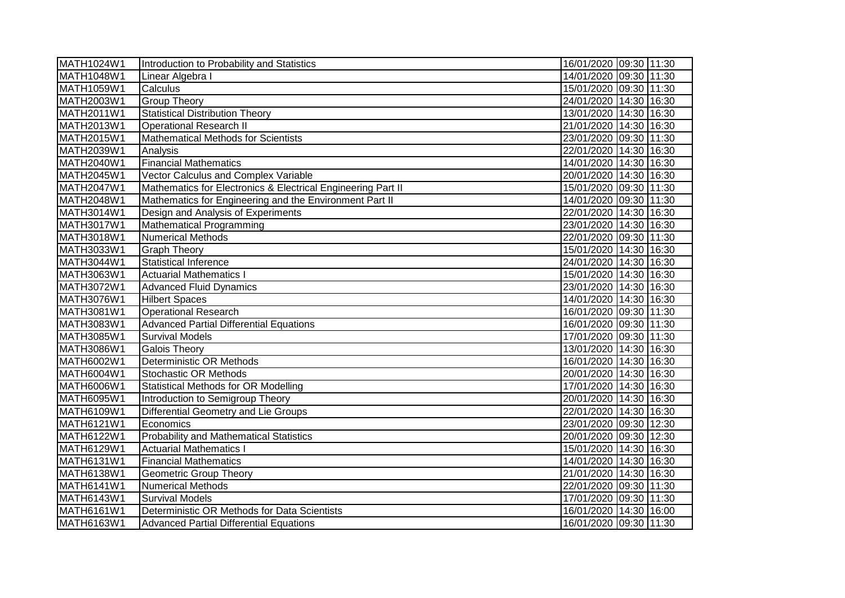| MATH1024W1        | Introduction to Probability and Statistics                   | 16/01/2020 09:30 11:30 |  |
|-------------------|--------------------------------------------------------------|------------------------|--|
| <b>MATH1048W1</b> | Linear Algebra I                                             | 14/01/2020 09:30 11:30 |  |
| MATH1059W1        | Calculus                                                     | 15/01/2020 09:30 11:30 |  |
| MATH2003W1        | <b>Group Theory</b>                                          | 24/01/2020 14:30 16:30 |  |
| MATH2011W1        | <b>Statistical Distribution Theory</b>                       | 13/01/2020 14:30 16:30 |  |
| MATH2013W1        | <b>Operational Research II</b>                               | 21/01/2020 14:30 16:30 |  |
| MATH2015W1        | <b>Mathematical Methods for Scientists</b>                   | 23/01/2020 09:30 11:30 |  |
| MATH2039W1        | Analysis                                                     | 22/01/2020 14:30 16:30 |  |
| MATH2040W1        | <b>Financial Mathematics</b>                                 | 14/01/2020 14:30 16:30 |  |
| MATH2045W1        | Vector Calculus and Complex Variable                         | 20/01/2020 14:30 16:30 |  |
| MATH2047W1        | Mathematics for Electronics & Electrical Engineering Part II | 15/01/2020 09:30 11:30 |  |
| MATH2048W1        | Mathematics for Engineering and the Environment Part II      | 14/01/2020 09:30 11:30 |  |
| MATH3014W1        | Design and Analysis of Experiments                           | 22/01/2020 14:30 16:30 |  |
| MATH3017W1        | <b>Mathematical Programming</b>                              | 23/01/2020 14:30 16:30 |  |
| <b>MATH3018W1</b> | <b>Numerical Methods</b>                                     | 22/01/2020 09:30 11:30 |  |
| MATH3033W1        | <b>Graph Theory</b>                                          | 15/01/2020 14:30 16:30 |  |
| <b>MATH3044W1</b> | <b>Statistical Inference</b>                                 | 24/01/2020 14:30 16:30 |  |
| MATH3063W1        | <b>Actuarial Mathematics I</b>                               | 15/01/2020 14:30 16:30 |  |
| MATH3072W1        | <b>Advanced Fluid Dynamics</b>                               | 23/01/2020 14:30 16:30 |  |
| MATH3076W1        | <b>Hilbert Spaces</b>                                        | 14/01/2020 14:30 16:30 |  |
| MATH3081W1        | <b>Operational Research</b>                                  | 16/01/2020 09:30 11:30 |  |
| MATH3083W1        | <b>Advanced Partial Differential Equations</b>               | 16/01/2020 09:30 11:30 |  |
| MATH3085W1        | <b>Survival Models</b>                                       | 17/01/2020 09:30 11:30 |  |
| MATH3086W1        | Galois Theory                                                | 13/01/2020 14:30 16:30 |  |
| MATH6002W1        | <b>Deterministic OR Methods</b>                              | 16/01/2020 14:30 16:30 |  |
| MATH6004W1        | <b>Stochastic OR Methods</b>                                 | 20/01/2020 14:30 16:30 |  |
| <b>MATH6006W1</b> | <b>Statistical Methods for OR Modelling</b>                  | 17/01/2020 14:30 16:30 |  |
| MATH6095W1        | Introduction to Semigroup Theory                             | 20/01/2020 14:30 16:30 |  |
| MATH6109W1        | Differential Geometry and Lie Groups                         | 22/01/2020 14:30 16:30 |  |
| MATH6121W1        | Economics                                                    | 23/01/2020 09:30 12:30 |  |
| MATH6122W1        | <b>Probability and Mathematical Statistics</b>               | 20/01/2020 09:30 12:30 |  |
| MATH6129W1        | <b>Actuarial Mathematics I</b>                               | 15/01/2020 14:30 16:30 |  |
| MATH6131W1        | <b>Financial Mathematics</b>                                 | 14/01/2020 14:30 16:30 |  |
| MATH6138W1        | <b>Geometric Group Theory</b>                                | 21/01/2020 14:30 16:30 |  |
| MATH6141W1        | <b>Numerical Methods</b>                                     | 22/01/2020 09:30 11:30 |  |
| MATH6143W1        | <b>Survival Models</b>                                       | 17/01/2020 09:30 11:30 |  |
| MATH6161W1        | Deterministic OR Methods for Data Scientists                 | 16/01/2020 14:30 16:00 |  |
| MATH6163W1        | <b>Advanced Partial Differential Equations</b>               | 16/01/2020 09:30 11:30 |  |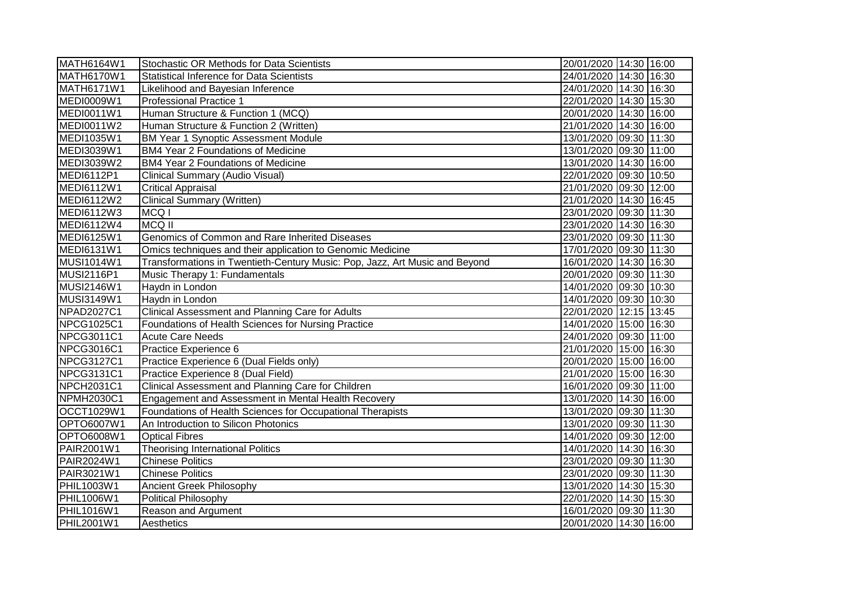| MATH6164W1        | Stochastic OR Methods for Data Scientists                                   | 20/01/2020 14:30 16:00 |
|-------------------|-----------------------------------------------------------------------------|------------------------|
| MATH6170W1        | <b>Statistical Inference for Data Scientists</b>                            | 24/01/2020 14:30 16:30 |
| MATH6171W1        | Likelihood and Bayesian Inference                                           | 24/01/2020 14:30 16:30 |
| <b>MEDI0009W1</b> | <b>Professional Practice 1</b>                                              | 22/01/2020 14:30 15:30 |
| <b>MEDI0011W1</b> | Human Structure & Function 1 (MCQ)                                          | 20/01/2020 14:30 16:00 |
| <b>MEDI0011W2</b> | Human Structure & Function 2 (Written)                                      | 21/01/2020 14:30 16:00 |
| MEDI1035W1        | <b>BM Year 1 Synoptic Assessment Module</b>                                 | 13/01/2020 09:30 11:30 |
| MEDI3039W1        | <b>BM4 Year 2 Foundations of Medicine</b>                                   | 13/01/2020 09:30 11:00 |
| MEDI3039W2        | <b>BM4 Year 2 Foundations of Medicine</b>                                   | 13/01/2020 14:30 16:00 |
| <b>MEDI6112P1</b> | <b>Clinical Summary (Audio Visual)</b>                                      | 22/01/2020 09:30 10:50 |
| <b>MEDI6112W1</b> | <b>Critical Appraisal</b>                                                   | 21/01/2020 09:30 12:00 |
| <b>MEDI6112W2</b> | <b>Clinical Summary (Written)</b>                                           | 21/01/2020 14:30 16:45 |
| MEDI6112W3        | MCQ <sub>I</sub>                                                            | 23/01/2020 09:30 11:30 |
| MEDI6112W4        | <b>MCQ II</b>                                                               | 23/01/2020 14:30 16:30 |
| <b>MEDI6125W1</b> | Genomics of Common and Rare Inherited Diseases                              | 23/01/2020 09:30 11:30 |
| MEDI6131W1        | Omics techniques and their application to Genomic Medicine                  | 17/01/2020 09:30 11:30 |
| <b>MUSI1014W1</b> | Transformations in Twentieth-Century Music: Pop, Jazz, Art Music and Beyond | 16/01/2020 14:30 16:30 |
| <b>MUSI2116P1</b> | Music Therapy 1: Fundamentals                                               | 20/01/2020 09:30 11:30 |
| <b>MUSI2146W1</b> | Haydn in London                                                             | 14/01/2020 09:30 10:30 |
| <b>MUSI3149W1</b> | Haydn in London                                                             | 14/01/2020 09:30 10:30 |
| <b>NPAD2027C1</b> | Clinical Assessment and Planning Care for Adults                            | 22/01/2020 12:15 13:45 |
| NPCG1025C1        | Foundations of Health Sciences for Nursing Practice                         | 14/01/2020 15:00 16:30 |
| <b>NPCG3011C1</b> | <b>Acute Care Needs</b>                                                     | 24/01/2020 09:30 11:00 |
| <b>NPCG3016C1</b> | Practice Experience 6                                                       | 21/01/2020 15:00 16:30 |
| NPCG3127C1        | Practice Experience 6 (Dual Fields only)                                    | 20/01/2020 15:00 16:00 |
| NPCG3131C1        | Practice Experience 8 (Dual Field)                                          | 21/01/2020 15:00 16:30 |
| NPCH2031C1        | Clinical Assessment and Planning Care for Children                          | 16/01/2020 09:30 11:00 |
| NPMH2030C1        | Engagement and Assessment in Mental Health Recovery                         | 13/01/2020 14:30 16:00 |
| OCCT1029W1        | Foundations of Health Sciences for Occupational Therapists                  | 13/01/2020 09:30 11:30 |
| OPTO6007W1        | An Introduction to Silicon Photonics                                        | 13/01/2020 09:30 11:30 |
| OPTO6008W1        | <b>Optical Fibres</b>                                                       | 14/01/2020 09:30 12:00 |
| PAIR2001W1        | <b>Theorising International Politics</b>                                    | 14/01/2020 14:30 16:30 |
| PAIR2024W1        | <b>Chinese Politics</b>                                                     | 23/01/2020 09:30 11:30 |
| PAIR3021W1        | <b>Chinese Politics</b>                                                     | 23/01/2020 09:30 11:30 |
| <b>PHIL1003W1</b> | <b>Ancient Greek Philosophy</b>                                             | 13/01/2020 14:30 15:30 |
| <b>PHIL1006W1</b> | Political Philosophy                                                        | 22/01/2020 14:30 15:30 |
| <b>PHIL1016W1</b> | Reason and Argument                                                         | 16/01/2020 09:30 11:30 |
| <b>PHIL2001W1</b> | Aesthetics                                                                  | 20/01/2020 14:30 16:00 |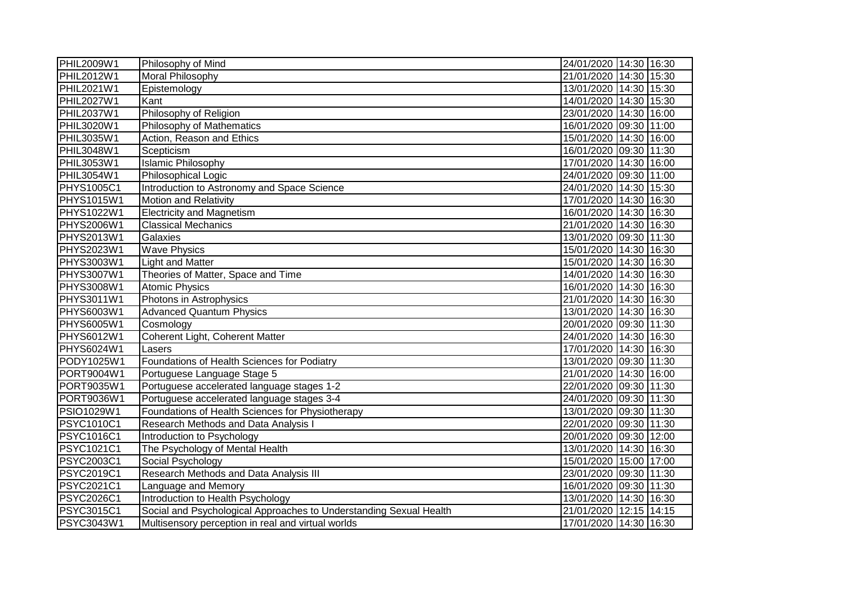| <b>PHIL2009W1</b> | Philosophy of Mind                                                 | 24/01/2020 14:30 16:30 |  |
|-------------------|--------------------------------------------------------------------|------------------------|--|
| <b>PHIL2012W1</b> | <b>Moral Philosophy</b>                                            | 21/01/2020 14:30 15:30 |  |
| <b>PHIL2021W1</b> | Epistemology                                                       | 13/01/2020 14:30 15:30 |  |
| <b>PHIL2027W1</b> | Kant                                                               | 14/01/2020 14:30 15:30 |  |
| <b>PHIL2037W1</b> | Philosophy of Religion                                             | 23/01/2020 14:30 16:00 |  |
| PHIL3020W1        | Philosophy of Mathematics                                          | 16/01/2020 09:30 11:00 |  |
| PHIL3035W1        | Action, Reason and Ethics                                          | 15/01/2020 14:30 16:00 |  |
| PHIL3048W1        | Scepticism                                                         | 16/01/2020 09:30 11:30 |  |
| PHIL3053W1        | <b>Islamic Philosophy</b>                                          | 17/01/2020 14:30 16:00 |  |
| <b>PHIL3054W1</b> | Philosophical Logic                                                | 24/01/2020 09:30 11:00 |  |
| <b>PHYS1005C1</b> | Introduction to Astronomy and Space Science                        | 24/01/2020 14:30 15:30 |  |
| PHYS1015W1        | <b>Motion and Relativity</b>                                       | 17/01/2020 14:30 16:30 |  |
| <b>PHYS1022W1</b> | <b>Electricity and Magnetism</b>                                   | 16/01/2020 14:30 16:30 |  |
| PHYS2006W1        | <b>Classical Mechanics</b>                                         | 21/01/2020 14:30 16:30 |  |
| PHYS2013W1        | Galaxies                                                           | 13/01/2020 09:30 11:30 |  |
| PHYS2023W1        | <b>Wave Physics</b>                                                | 15/01/2020 14:30 16:30 |  |
| <b>PHYS3003W1</b> | <b>Light and Matter</b>                                            | 15/01/2020 14:30 16:30 |  |
| PHYS3007W1        | Theories of Matter, Space and Time                                 | 14/01/2020 14:30 16:30 |  |
| PHYS3008W1        | <b>Atomic Physics</b>                                              | 16/01/2020 14:30 16:30 |  |
| PHYS3011W1        | Photons in Astrophysics                                            | 21/01/2020 14:30 16:30 |  |
| PHYS6003W1        | <b>Advanced Quantum Physics</b>                                    | 13/01/2020 14:30 16:30 |  |
| PHYS6005W1        | Cosmology                                                          | 20/01/2020 09:30 11:30 |  |
| PHYS6012W1        | Coherent Light, Coherent Matter                                    | 24/01/2020 14:30 16:30 |  |
| PHYS6024W1        | Lasers                                                             | 17/01/2020 14:30 16:30 |  |
| PODY1025W1        | Foundations of Health Sciences for Podiatry                        | 13/01/2020 09:30 11:30 |  |
| PORT9004W1        | Portuguese Language Stage 5                                        | 21/01/2020 14:30 16:00 |  |
| PORT9035W1        | Portuguese accelerated language stages 1-2                         | 22/01/2020 09:30 11:30 |  |
| PORT9036W1        | Portuguese accelerated language stages 3-4                         | 24/01/2020 09:30 11:30 |  |
| PSIO1029W1        | Foundations of Health Sciences for Physiotherapy                   | 13/01/2020 09:30 11:30 |  |
| PSYC1010C1        | Research Methods and Data Analysis I                               | 22/01/2020 09:30 11:30 |  |
| PSYC1016C1        | Introduction to Psychology                                         | 20/01/2020 09:30 12:00 |  |
| PSYC1021C1        | The Psychology of Mental Health                                    | 13/01/2020 14:30 16:30 |  |
| <b>PSYC2003C1</b> | Social Psychology                                                  | 15/01/2020 15:00 17:00 |  |
| PSYC2019C1        | Research Methods and Data Analysis III                             | 23/01/2020 09:30 11:30 |  |
| PSYC2021C1        | Language and Memory                                                | 16/01/2020 09:30 11:30 |  |
| <b>PSYC2026C1</b> | Introduction to Health Psychology                                  | 13/01/2020 14:30 16:30 |  |
| PSYC3015C1        | Social and Psychological Approaches to Understanding Sexual Health | 21/01/2020 12:15 14:15 |  |
| PSYC3043W1        | Multisensory perception in real and virtual worlds                 | 17/01/2020 14:30 16:30 |  |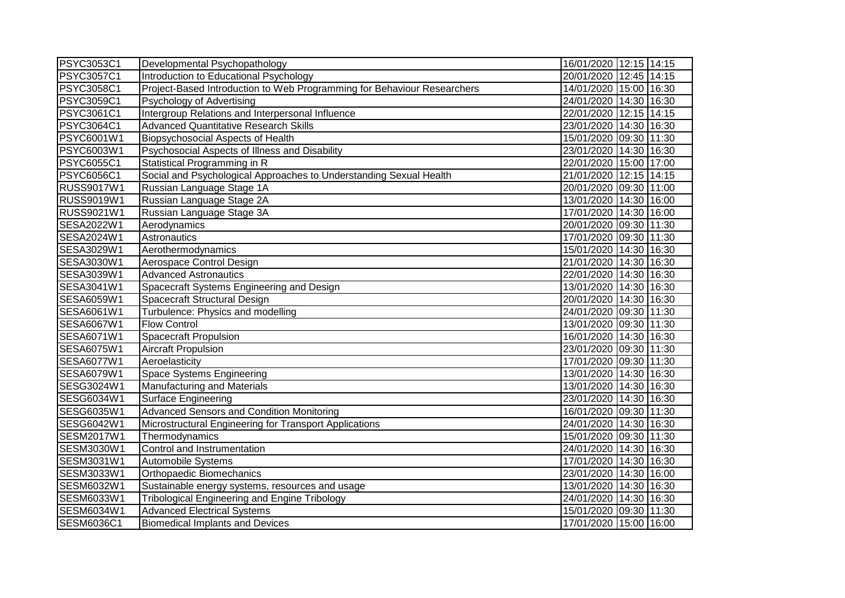| <b>PSYC3053C1</b> | Developmental Psychopathology                                           | 16/01/2020 12:15 14:15 |
|-------------------|-------------------------------------------------------------------------|------------------------|
| <b>PSYC3057C1</b> | Introduction to Educational Psychology                                  | 20/01/2020 12:45 14:15 |
| PSYC3058C1        | Project-Based Introduction to Web Programming for Behaviour Researchers | 14/01/2020 15:00 16:30 |
| <b>PSYC3059C1</b> | Psychology of Advertising                                               | 24/01/2020 14:30 16:30 |
| PSYC3061C1        | Intergroup Relations and Interpersonal Influence                        | 22/01/2020 12:15 14:15 |
| <b>PSYC3064C1</b> | <b>Advanced Quantitative Research Skills</b>                            | 23/01/2020 14:30 16:30 |
| PSYC6001W1        | Biopsychosocial Aspects of Health                                       | 15/01/2020 09:30 11:30 |
| PSYC6003W1        | Psychosocial Aspects of Illness and Disability                          | 23/01/2020 14:30 16:30 |
| PSYC6055C1        | Statistical Programming in R                                            | 22/01/2020 15:00 17:00 |
| <b>PSYC6056C1</b> | Social and Psychological Approaches to Understanding Sexual Health      | 21/01/2020 12:15 14:15 |
| <b>RUSS9017W1</b> | Russian Language Stage 1A                                               | 20/01/2020 09:30 11:00 |
| <b>RUSS9019W1</b> | Russian Language Stage 2A                                               | 13/01/2020 14:30 16:00 |
| RUSS9021W1        | Russian Language Stage 3A                                               | 17/01/2020 14:30 16:00 |
| SESA2022W1        | Aerodynamics                                                            | 20/01/2020 09:30 11:30 |
| SESA2024W1        | Astronautics                                                            | 17/01/2020 09:30 11:30 |
| SESA3029W1        | Aerothermodynamics                                                      | 15/01/2020 14:30 16:30 |
| SESA3030W1        | Aerospace Control Design                                                | 21/01/2020 14:30 16:30 |
| <b>SESA3039W1</b> | <b>Advanced Astronautics</b>                                            | 22/01/2020 14:30 16:30 |
| SESA3041W1        | Spacecraft Systems Engineering and Design                               | 13/01/2020 14:30 16:30 |
| <b>SESA6059W1</b> | Spacecraft Structural Design                                            | 20/01/2020 14:30 16:30 |
| SESA6061W1        | Turbulence: Physics and modelling                                       | 24/01/2020 09:30 11:30 |
| SESA6067W1        | <b>Flow Control</b>                                                     | 13/01/2020 09:30 11:30 |
| SESA6071W1        | <b>Spacecraft Propulsion</b>                                            | 16/01/2020 14:30 16:30 |
| SESA6075W1        | <b>Aircraft Propulsion</b>                                              | 23/01/2020 09:30 11:30 |
| SESA6077W1        | Aeroelasticity                                                          | 17/01/2020 09:30 11:30 |
| SESA6079W1        | Space Systems Engineering                                               | 13/01/2020 14:30 16:30 |
| SESG3024W1        | Manufacturing and Materials                                             | 13/01/2020 14:30 16:30 |
| SESG6034W1        | Surface Engineering                                                     | 23/01/2020 14:30 16:30 |
| SESG6035W1        | <b>Advanced Sensors and Condition Monitoring</b>                        | 16/01/2020 09:30 11:30 |
| SESG6042W1        | Microstructural Engineering for Transport Applications                  | 24/01/2020 14:30 16:30 |
| SESM2017W1        | Thermodynamics                                                          | 15/01/2020 09:30 11:30 |
| SESM3030W1        | Control and Instrumentation                                             | 24/01/2020 14:30 16:30 |
| SESM3031W1        | Automobile Systems                                                      | 17/01/2020 14:30 16:30 |
| SESM3033W1        | Orthopaedic Biomechanics                                                | 23/01/2020 14:30 16:00 |
| SESM6032W1        | Sustainable energy systems, resources and usage                         | 13/01/2020 14:30 16:30 |
| SESM6033W1        | <b>Tribological Engineering and Engine Tribology</b>                    | 24/01/2020 14:30 16:30 |
| SESM6034W1        | <b>Advanced Electrical Systems</b>                                      | 15/01/2020 09:30 11:30 |
| SESM6036C1        | <b>Biomedical Implants and Devices</b>                                  | 17/01/2020 15:00 16:00 |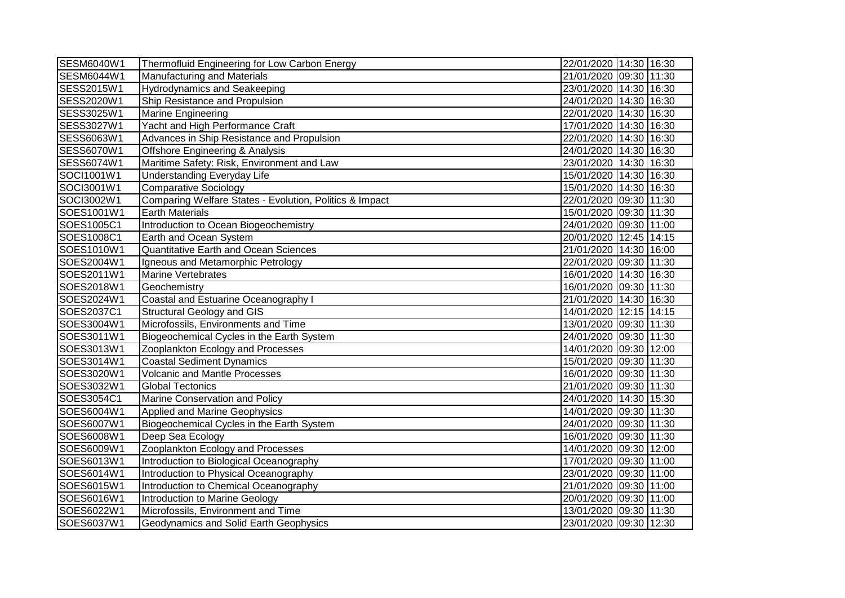| <b>SESM6040W1</b> | Thermofluid Engineering for Low Carbon Energy           | 22/01/2020 14:30 16:30 |
|-------------------|---------------------------------------------------------|------------------------|
| SESM6044W1        | <b>Manufacturing and Materials</b>                      | 21/01/2020 09:30 11:30 |
| SESS2015W1        | <b>Hydrodynamics and Seakeeping</b>                     | 23/01/2020 14:30 16:30 |
| SESS2020W1        | Ship Resistance and Propulsion                          | 24/01/2020 14:30 16:30 |
| SESS3025W1        | <b>Marine Engineering</b>                               | 22/01/2020 14:30 16:30 |
| SESS3027W1        | Yacht and High Performance Craft                        | 17/01/2020 14:30 16:30 |
| SESS6063W1        | Advances in Ship Resistance and Propulsion              | 22/01/2020 14:30 16:30 |
| <b>SESS6070W1</b> | <b>Offshore Engineering &amp; Analysis</b>              | 24/01/2020 14:30 16:30 |
| SESS6074W1        | Maritime Safety: Risk, Environment and Law              | 23/01/2020 14:30 16:30 |
| SOCI1001W1        | <b>Understanding Everyday Life</b>                      | 15/01/2020 14:30 16:30 |
| SOCI3001W1        | Comparative Sociology                                   | 15/01/2020 14:30 16:30 |
| SOCI3002W1        | Comparing Welfare States - Evolution, Politics & Impact | 22/01/2020 09:30 11:30 |
| SOES1001W1        | <b>Earth Materials</b>                                  | 15/01/2020 09:30 11:30 |
| SOES1005C1        | Introduction to Ocean Biogeochemistry                   | 24/01/2020 09:30 11:00 |
| SOES1008C1        | Earth and Ocean System                                  | 20/01/2020 12:45 14:15 |
| SOES1010W1        | Quantitative Earth and Ocean Sciences                   | 21/01/2020 14:30 16:00 |
| SOES2004W1        | Igneous and Metamorphic Petrology                       | 22/01/2020 09:30 11:30 |
| SOES2011W1        | <b>Marine Vertebrates</b>                               | 16/01/2020 14:30 16:30 |
| SOES2018W1        | Geochemistry                                            | 16/01/2020 09:30 11:30 |
| SOES2024W1        | Coastal and Estuarine Oceanography I                    | 21/01/2020 14:30 16:30 |
| SOES2037C1        | <b>Structural Geology and GIS</b>                       | 14/01/2020 12:15 14:15 |
| SOES3004W1        | Microfossils, Environments and Time                     | 13/01/2020 09:30 11:30 |
| SOES3011W1        | Biogeochemical Cycles in the Earth System               | 24/01/2020 09:30 11:30 |
| SOES3013W1        | Zooplankton Ecology and Processes                       | 14/01/2020 09:30 12:00 |
| SOES3014W1        | <b>Coastal Sediment Dynamics</b>                        | 15/01/2020 09:30 11:30 |
| SOES3020W1        | <b>Volcanic and Mantle Processes</b>                    | 16/01/2020 09:30 11:30 |
| SOES3032W1        | <b>Global Tectonics</b>                                 | 21/01/2020 09:30 11:30 |
| SOES3054C1        | Marine Conservation and Policy                          | 24/01/2020 14:30 15:30 |
| SOES6004W1        | Applied and Marine Geophysics                           | 14/01/2020 09:30 11:30 |
| SOES6007W1        | Biogeochemical Cycles in the Earth System               | 24/01/2020 09:30 11:30 |
| SOES6008W1        | Deep Sea Ecology                                        | 16/01/2020 09:30 11:30 |
| SOES6009W1        | Zooplankton Ecology and Processes                       | 14/01/2020 09:30 12:00 |
| SOES6013W1        | Introduction to Biological Oceanography                 | 17/01/2020 09:30 11:00 |
| SOES6014W1        | Introduction to Physical Oceanography                   | 23/01/2020 09:30 11:00 |
| SOES6015W1        | Introduction to Chemical Oceanography                   | 21/01/2020 09:30 11:00 |
| SOES6016W1        | Introduction to Marine Geology                          | 20/01/2020 09:30 11:00 |
| SOES6022W1        | Microfossils, Environment and Time                      | 13/01/2020 09:30 11:30 |
| SOES6037W1        | Geodynamics and Solid Earth Geophysics                  | 23/01/2020 09:30 12:30 |